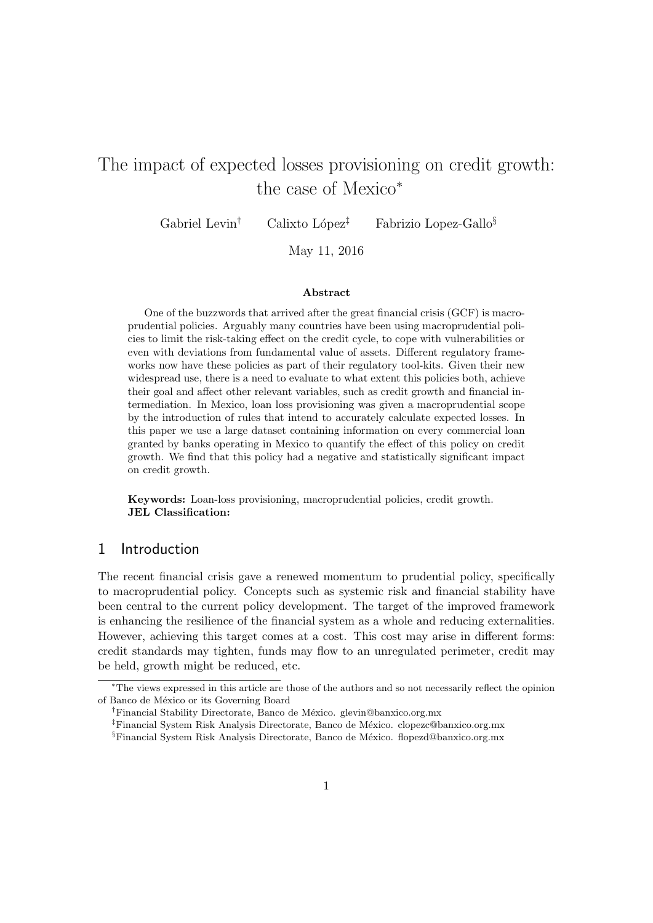# The impact of expected losses provisioning on credit growth: the case of Mexico<sup>∗</sup>

Gabriel Levin<sup>†</sup> Calixto López<sup>‡</sup> Fabrizio Lopez-Gallo<sup>§</sup>

May 11, 2016

#### Abstract

One of the buzzwords that arrived after the great financial crisis (GCF) is macroprudential policies. Arguably many countries have been using macroprudential policies to limit the risk-taking effect on the credit cycle, to cope with vulnerabilities or even with deviations from fundamental value of assets. Different regulatory frameworks now have these policies as part of their regulatory tool-kits. Given their new widespread use, there is a need to evaluate to what extent this policies both, achieve their goal and affect other relevant variables, such as credit growth and financial intermediation. In Mexico, loan loss provisioning was given a macroprudential scope by the introduction of rules that intend to accurately calculate expected losses. In this paper we use a large dataset containing information on every commercial loan granted by banks operating in Mexico to quantify the effect of this policy on credit growth. We find that this policy had a negative and statistically significant impact on credit growth.

Keywords: Loan-loss provisioning, macroprudential policies, credit growth. JEL Classification:

#### 1 Introduction

The recent financial crisis gave a renewed momentum to prudential policy, specifically to macroprudential policy. Concepts such as systemic risk and financial stability have been central to the current policy development. The target of the improved framework is enhancing the resilience of the financial system as a whole and reducing externalities. However, achieving this target comes at a cost. This cost may arise in different forms: credit standards may tighten, funds may flow to an unregulated perimeter, credit may be held, growth might be reduced, etc.

<sup>∗</sup>The views expressed in this article are those of the authors and so not necessarily reflect the opinion of Banco de México or its Governing Board

<sup>&</sup>lt;sup>†</sup>Financial Stability Directorate, Banco de México. glevin@banxico.org.mx

<sup>&</sup>lt;sup>‡</sup>Financial System Risk Analysis Directorate, Banco de México. clopezc@banxico.org.mx

 $\S$ Financial System Risk Analysis Directorate, Banco de México. flopezd@banxico.org.mx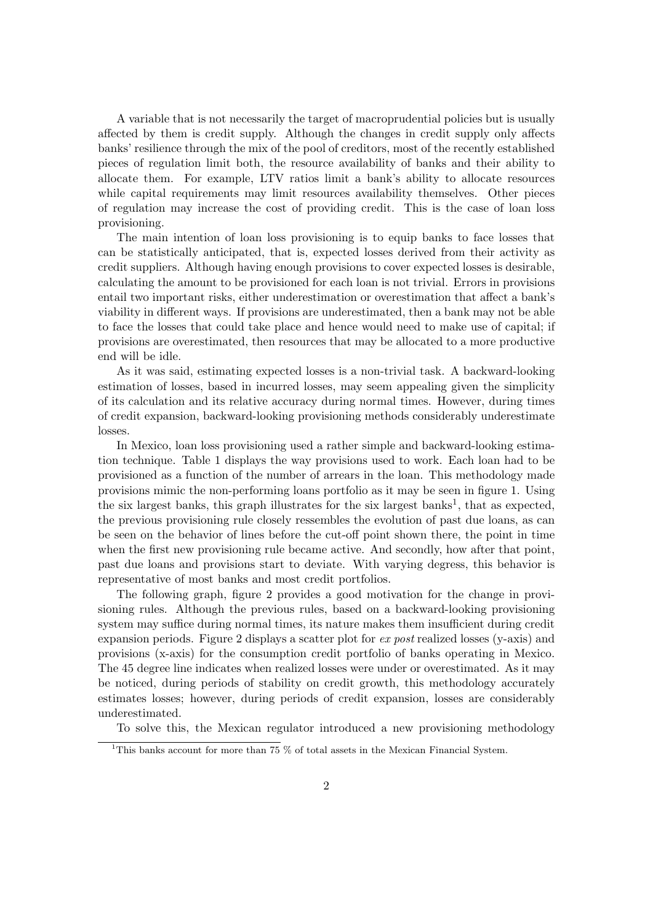A variable that is not necessarily the target of macroprudential policies but is usually affected by them is credit supply. Although the changes in credit supply only affects banks' resilience through the mix of the pool of creditors, most of the recently established pieces of regulation limit both, the resource availability of banks and their ability to allocate them. For example, LTV ratios limit a bank's ability to allocate resources while capital requirements may limit resources availability themselves. Other pieces of regulation may increase the cost of providing credit. This is the case of loan loss provisioning.

The main intention of loan loss provisioning is to equip banks to face losses that can be statistically anticipated, that is, expected losses derived from their activity as credit suppliers. Although having enough provisions to cover expected losses is desirable, calculating the amount to be provisioned for each loan is not trivial. Errors in provisions entail two important risks, either underestimation or overestimation that affect a bank's viability in different ways. If provisions are underestimated, then a bank may not be able to face the losses that could take place and hence would need to make use of capital; if provisions are overestimated, then resources that may be allocated to a more productive end will be idle.

As it was said, estimating expected losses is a non-trivial task. A backward-looking estimation of losses, based in incurred losses, may seem appealing given the simplicity of its calculation and its relative accuracy during normal times. However, during times of credit expansion, backward-looking provisioning methods considerably underestimate losses.

In Mexico, loan loss provisioning used a rather simple and backward-looking estimation technique. Table 1 displays the way provisions used to work. Each loan had to be provisioned as a function of the number of arrears in the loan. This methodology made provisions mimic the non-performing loans portfolio as it may be seen in figure 1. Using the six largest banks, this graph illustrates for the six largest banks<sup>1</sup>, that as expected, the previous provisioning rule closely ressembles the evolution of past due loans, as can be seen on the behavior of lines before the cut-off point shown there, the point in time when the first new provisioning rule became active. And secondly, how after that point, past due loans and provisions start to deviate. With varying degress, this behavior is representative of most banks and most credit portfolios.

The following graph, figure 2 provides a good motivation for the change in provisioning rules. Although the previous rules, based on a backward-looking provisioning system may suffice during normal times, its nature makes them insufficient during credit expansion periods. Figure 2 displays a scatter plot for ex post realized losses (y-axis) and provisions (x-axis) for the consumption credit portfolio of banks operating in Mexico. The 45 degree line indicates when realized losses were under or overestimated. As it may be noticed, during periods of stability on credit growth, this methodology accurately estimates losses; however, during periods of credit expansion, losses are considerably underestimated.

To solve this, the Mexican regulator introduced a new provisioning methodology

<sup>&</sup>lt;sup>1</sup>This banks account for more than  $75\%$  of total assets in the Mexican Financial System.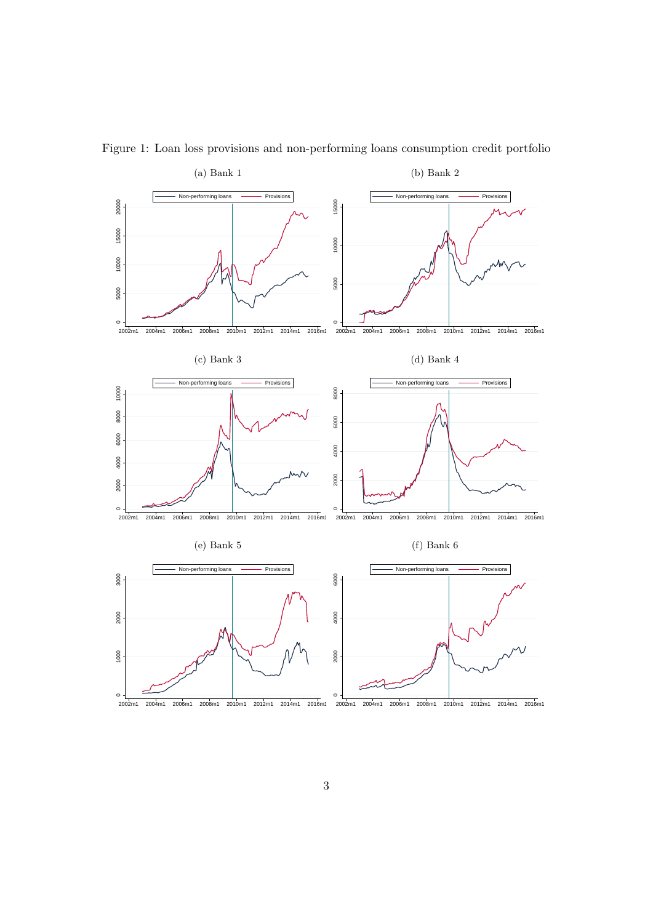

Figure 1: Loan loss provisions and non-performing loans consumption credit portfolio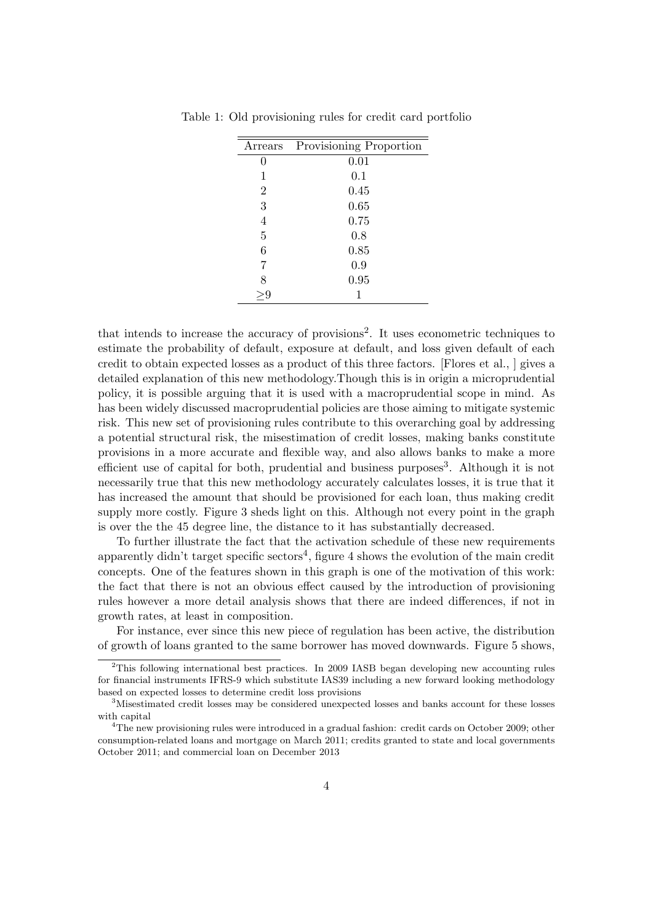| Arrears        | Provisioning Proportion |
|----------------|-------------------------|
|                | 0.01                    |
| 1              | 0.1                     |
| $\overline{2}$ | 0.45                    |
| 3              | 0.65                    |
| 4              | 0.75                    |
| 5              | 0.8                     |
| 6              | 0.85                    |
| 7              | 0.9                     |
|                | 0.95                    |
|                |                         |

Table 1: Old provisioning rules for credit card portfolio

that intends to increase the accuracy of provisions<sup>2</sup>. It uses econometric techniques to estimate the probability of default, exposure at default, and loss given default of each credit to obtain expected losses as a product of this three factors. [Flores et al., ] gives a detailed explanation of this new methodology.Though this is in origin a microprudential policy, it is possible arguing that it is used with a macroprudential scope in mind. As has been widely discussed macroprudential policies are those aiming to mitigate systemic risk. This new set of provisioning rules contribute to this overarching goal by addressing a potential structural risk, the misestimation of credit losses, making banks constitute provisions in a more accurate and flexible way, and also allows banks to make a more efficient use of capital for both, prudential and business purposes<sup>3</sup>. Although it is not necessarily true that this new methodology accurately calculates losses, it is true that it has increased the amount that should be provisioned for each loan, thus making credit supply more costly. Figure 3 sheds light on this. Although not every point in the graph is over the the 45 degree line, the distance to it has substantially decreased.

To further illustrate the fact that the activation schedule of these new requirements apparently didn't target specific sectors<sup>4</sup>, figure 4 shows the evolution of the main credit concepts. One of the features shown in this graph is one of the motivation of this work: the fact that there is not an obvious effect caused by the introduction of provisioning rules however a more detail analysis shows that there are indeed differences, if not in growth rates, at least in composition.

For instance, ever since this new piece of regulation has been active, the distribution of growth of loans granted to the same borrower has moved downwards. Figure 5 shows,

<sup>2</sup>This following international best practices. In 2009 IASB began developing new accounting rules for financial instruments IFRS-9 which substitute IAS39 including a new forward looking methodology based on expected losses to determine credit loss provisions

<sup>3</sup>Misestimated credit losses may be considered unexpected losses and banks account for these losses with capital

<sup>4</sup>The new provisioning rules were introduced in a gradual fashion: credit cards on October 2009; other consumption-related loans and mortgage on March 2011; credits granted to state and local governments October 2011; and commercial loan on December 2013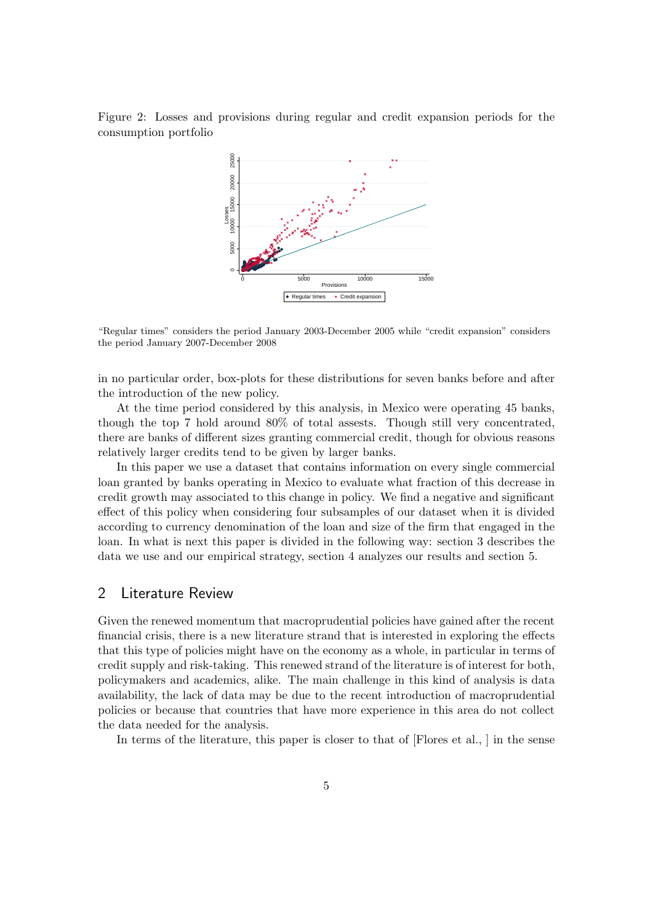Figure 2: Losses and provisions during regular and credit expansion periods for the consumption portfolio



"Regular times" considers the period January 2003-December 2005 while "credit expansion" considers the period January 2007-December 2008

in no particular order, box-plots for these distributions for seven banks before and after the introduction of the new policy.

At the time period considered by this analysis, in Mexico were operating 45 banks, though the top 7 hold around 80% of total assests. Though still very concentrated, there are banks of different sizes granting commercial credit, though for obvious reasons relatively larger credits tend to be given by larger banks.

In this paper we use a dataset that contains information on every single commercial loan granted by banks operating in Mexico to evaluate what fraction of this decrease in credit growth may associated to this change in policy. We find a negative and significant effect of this policy when considering four subsamples of our dataset when it is divided according to currency denomination of the loan and size of the firm that engaged in the loan. In what is next this paper is divided in the following way: section 3 describes the data we use and our empirical strategy, section 4 analyzes our results and section 5.

## 2 Literature Review

Given the renewed momentum that macroprudential policies have gained after the recent financial crisis, there is a new literature strand that is interested in exploring the effects that this type of policies might have on the economy as a whole, in particular in terms of credit supply and risk-taking. This renewed strand of the literature is of interest for both, policymakers and academics, alike. The main challenge in this kind of analysis is data availability, the lack of data may be due to the recent introduction of macroprudential policies or because that countries that have more experience in this area do not collect the data needed for the analysis.

In terms of the literature, this paper is closer to that of [Flores et al., ] in the sense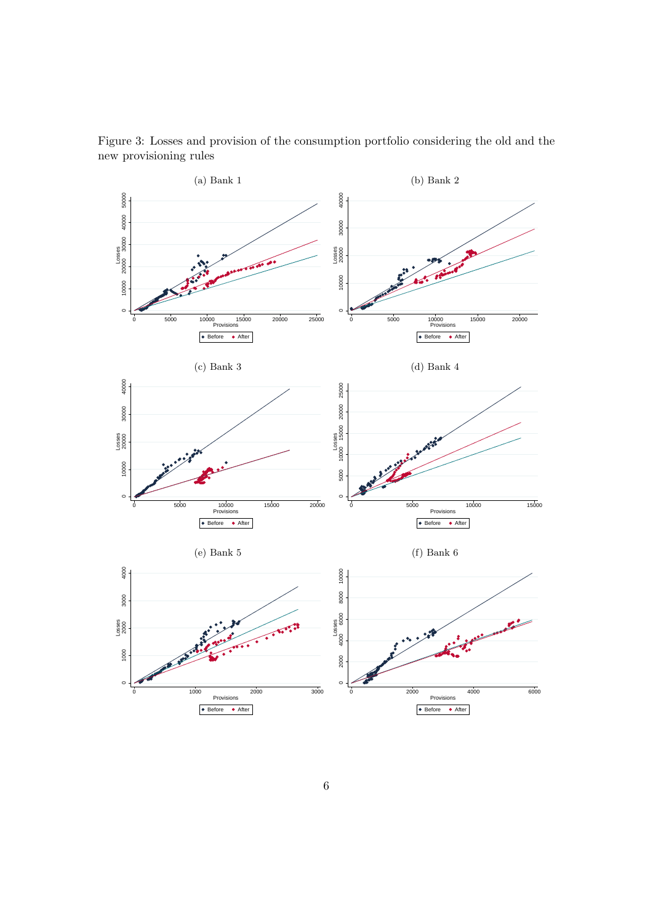

Figure 3: Losses and provision of the consumption portfolio considering the old and the new provisioning rules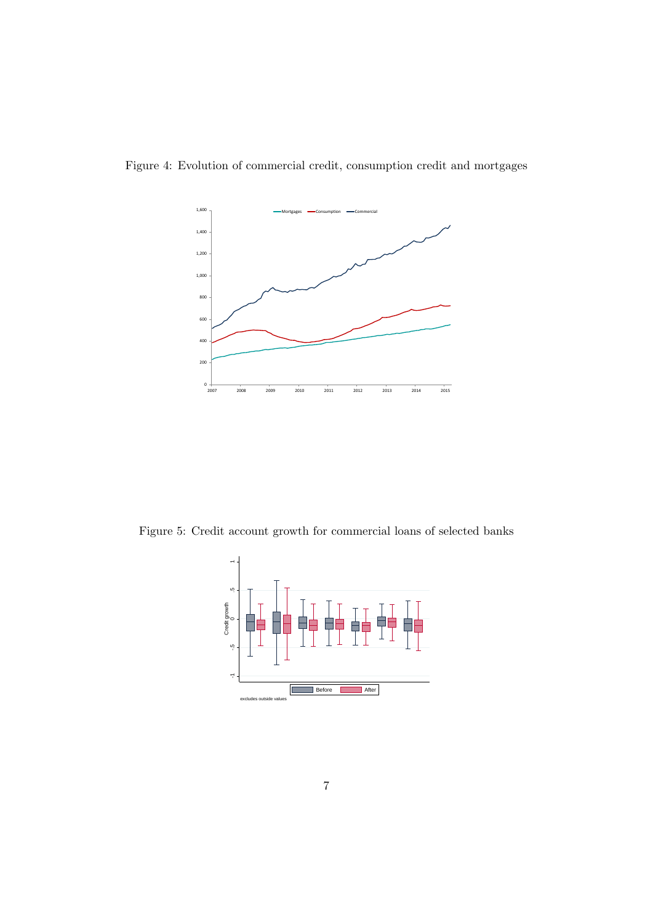



Figure 5: Credit account growth for commercial loans of selected banks

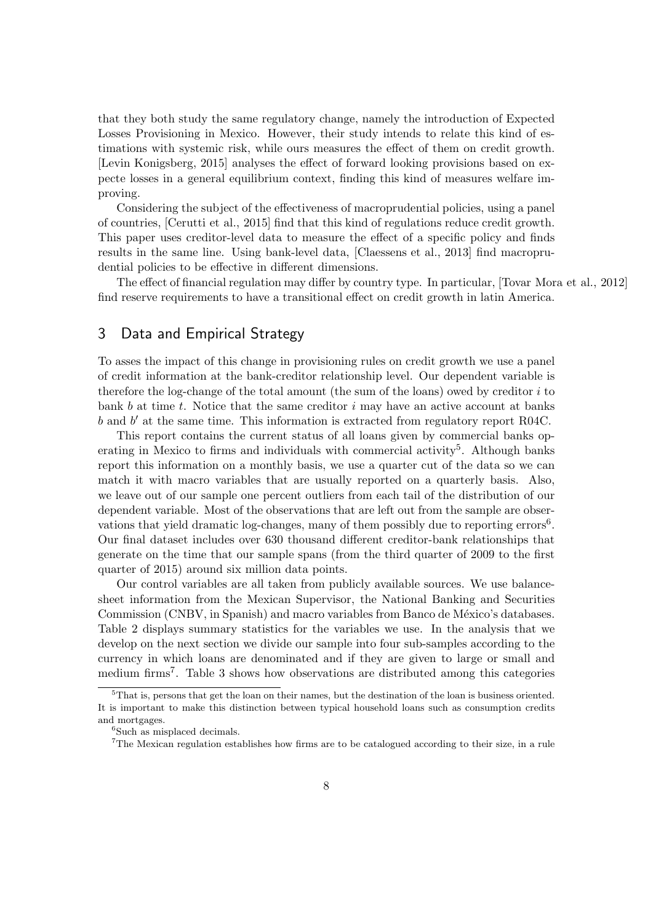that they both study the same regulatory change, namely the introduction of Expected Losses Provisioning in Mexico. However, their study intends to relate this kind of estimations with systemic risk, while ours measures the effect of them on credit growth. [Levin Konigsberg, 2015] analyses the effect of forward looking provisions based on expecte losses in a general equilibrium context, finding this kind of measures welfare improving.

Considering the subject of the effectiveness of macroprudential policies, using a panel of countries, [Cerutti et al., 2015] find that this kind of regulations reduce credit growth. This paper uses creditor-level data to measure the effect of a specific policy and finds results in the same line. Using bank-level data, [Claessens et al., 2013] find macroprudential policies to be effective in different dimensions.

The effect of financial regulation may differ by country type. In particular, [Tovar Mora et al., 2012] find reserve requirements to have a transitional effect on credit growth in latin America.

## 3 Data and Empirical Strategy

To asses the impact of this change in provisioning rules on credit growth we use a panel of credit information at the bank-creditor relationship level. Our dependent variable is therefore the log-change of the total amount (the sum of the loans) owed by creditor  $i$  to bank b at time t. Notice that the same creditor  $i$  may have an active account at banks  $b$  and  $b'$  at the same time. This information is extracted from regulatory report R04C.

This report contains the current status of all loans given by commercial banks operating in Mexico to firms and individuals with commercial activity<sup>5</sup>. Although banks report this information on a monthly basis, we use a quarter cut of the data so we can match it with macro variables that are usually reported on a quarterly basis. Also, we leave out of our sample one percent outliers from each tail of the distribution of our dependent variable. Most of the observations that are left out from the sample are observations that yield dramatic log-changes, many of them possibly due to reporting errors<sup>6</sup>. Our final dataset includes over 630 thousand different creditor-bank relationships that generate on the time that our sample spans (from the third quarter of 2009 to the first quarter of 2015) around six million data points.

Our control variables are all taken from publicly available sources. We use balancesheet information from the Mexican Supervisor, the National Banking and Securities Commission (CNBV, in Spanish) and macro variables from Banco de México's databases. Table 2 displays summary statistics for the variables we use. In the analysis that we develop on the next section we divide our sample into four sub-samples according to the currency in which loans are denominated and if they are given to large or small and medium firms<sup>7</sup>. Table 3 shows how observations are distributed among this categories

 $5$ That is, persons that get the loan on their names, but the destination of the loan is business oriented. It is important to make this distinction between typical household loans such as consumption credits and mortgages.

 ${}^6\mathrm{Such}$  as misplaced decimals.

<sup>7</sup>The Mexican regulation establishes how firms are to be catalogued according to their size, in a rule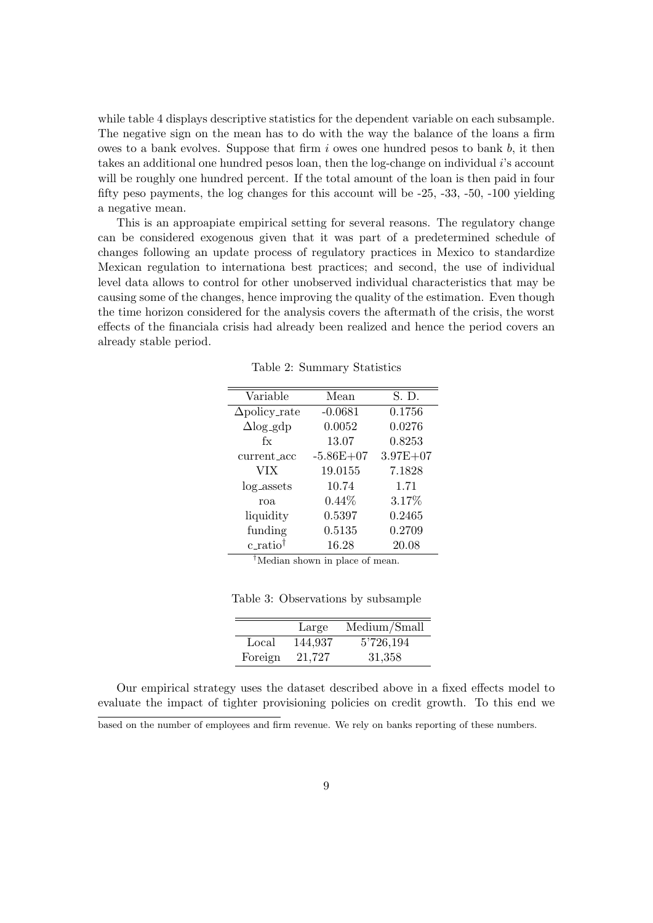while table 4 displays descriptive statistics for the dependent variable on each subsample. The negative sign on the mean has to do with the way the balance of the loans a firm owes to a bank evolves. Suppose that firm  $i$  owes one hundred pesos to bank  $b$ , it then takes an additional one hundred pesos loan, then the log-change on individual i's account will be roughly one hundred percent. If the total amount of the loan is then paid in four fifty peso payments, the log changes for this account will be -25, -33, -50, -100 yielding a negative mean.

This is an approapiate empirical setting for several reasons. The regulatory change can be considered exogenous given that it was part of a predetermined schedule of changes following an update process of regulatory practices in Mexico to standardize Mexican regulation to internationa best practices; and second, the use of individual level data allows to control for other unobserved individual characteristics that may be causing some of the changes, hence improving the quality of the estimation. Even though the time horizon considered for the analysis covers the aftermath of the crisis, the worst effects of the financiala crisis had already been realized and hence the period covers an already stable period.

| Variable                | Mean          | S. D.        |
|-------------------------|---------------|--------------|
| $\Delta$ policy_rate    | $-0.0681$     | 0.1756       |
| $\Delta$ log_gdp        | 0.0052        | 0.0276       |
| $f_{\rm X}$             | 13.07         | 0.8253       |
| current_acc             | $-5.86E + 07$ | $3.97E + 07$ |
| VIX                     | 19.0155       | 7.1828       |
| log_assets              | 10.74         | 1.71         |
| roa                     | $0.44\%$      | 3.17%        |
| liquidity               | 0.5397        | 0.2465       |
| funding                 | 0.5135        | 0.2709       |
| $c$ -ratio <sup>†</sup> | 16.28         | 20.08        |

Table 2: Summary Statistics

†Median shown in place of mean.

Table 3: Observations by subsample

|         | Large   | Medium/Small |
|---------|---------|--------------|
| Local   | 144,937 | 5'726,194    |
| Foreign | 21.727  | 31,358       |

Our empirical strategy uses the dataset described above in a fixed effects model to evaluate the impact of tighter provisioning policies on credit growth. To this end we

based on the number of employees and firm revenue. We rely on banks reporting of these numbers.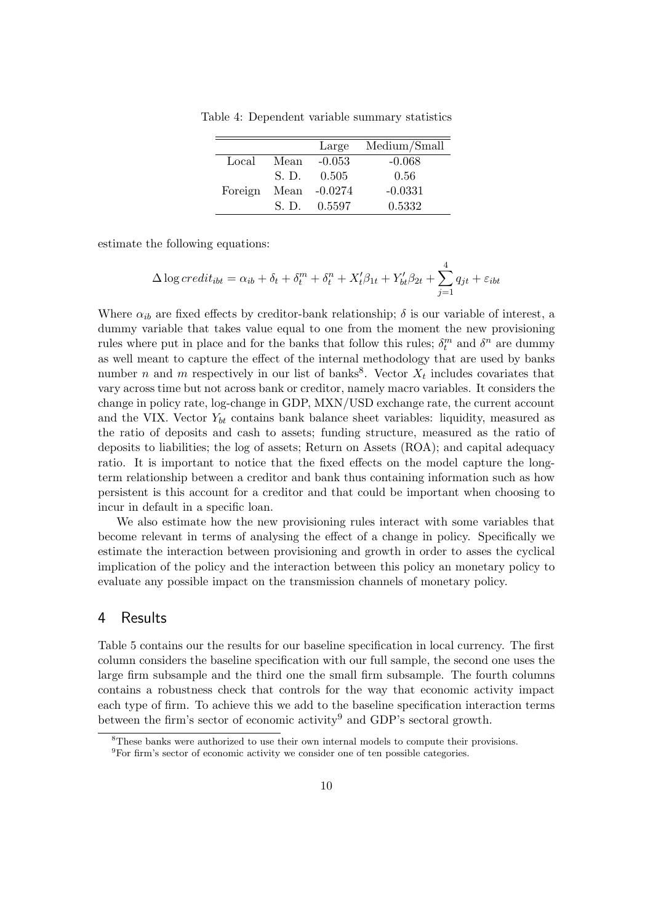Table 4: Dependent variable summary statistics

|         |       | Large          | Medium/Small |
|---------|-------|----------------|--------------|
| Local   | Mean  | $-0.053$       | $-0.068$     |
|         | S. D. | 0.505          | 0.56         |
| Foreign |       | Mean $-0.0274$ | $-0.0331$    |
|         | S. D. | 0.5597         | 0.5332       |

estimate the following equations:

$$
\Delta \log credit_{ibt} = \alpha_{ib} + \delta_t + \delta_t^m + \delta_t^n + X_t'\beta_{1t} + Y_{bt}'\beta_{2t} + \sum_{j=1}^4 q_{jt} + \varepsilon_{ibt}
$$

Where  $\alpha_{ib}$  are fixed effects by creditor-bank relationship;  $\delta$  is our variable of interest, a dummy variable that takes value equal to one from the moment the new provisioning rules where put in place and for the banks that follow this rules;  $\delta_t^m$  and  $\delta^n$  are dummy as well meant to capture the effect of the internal methodology that are used by banks number *n* and *m* respectively in our list of banks<sup>8</sup>. Vector  $X_t$  includes covariates that vary across time but not across bank or creditor, namely macro variables. It considers the change in policy rate, log-change in GDP, MXN/USD exchange rate, the current account and the VIX. Vector  $Y_{bt}$  contains bank balance sheet variables: liquidity, measured as the ratio of deposits and cash to assets; funding structure, measured as the ratio of deposits to liabilities; the log of assets; Return on Assets (ROA); and capital adequacy ratio. It is important to notice that the fixed effects on the model capture the longterm relationship between a creditor and bank thus containing information such as how persistent is this account for a creditor and that could be important when choosing to incur in default in a specific loan.

We also estimate how the new provisioning rules interact with some variables that become relevant in terms of analysing the effect of a change in policy. Specifically we estimate the interaction between provisioning and growth in order to asses the cyclical implication of the policy and the interaction between this policy an monetary policy to evaluate any possible impact on the transmission channels of monetary policy.

#### 4 Results

Table 5 contains our the results for our baseline specification in local currency. The first column considers the baseline specification with our full sample, the second one uses the large firm subsample and the third one the small firm subsample. The fourth columns contains a robustness check that controls for the way that economic activity impact each type of firm. To achieve this we add to the baseline specification interaction terms between the firm's sector of economic activity<sup>9</sup> and GDP's sectoral growth.

<sup>&</sup>lt;sup>8</sup>These banks were authorized to use their own internal models to compute their provisions.

<sup>9</sup>For firm's sector of economic activity we consider one of ten possible categories.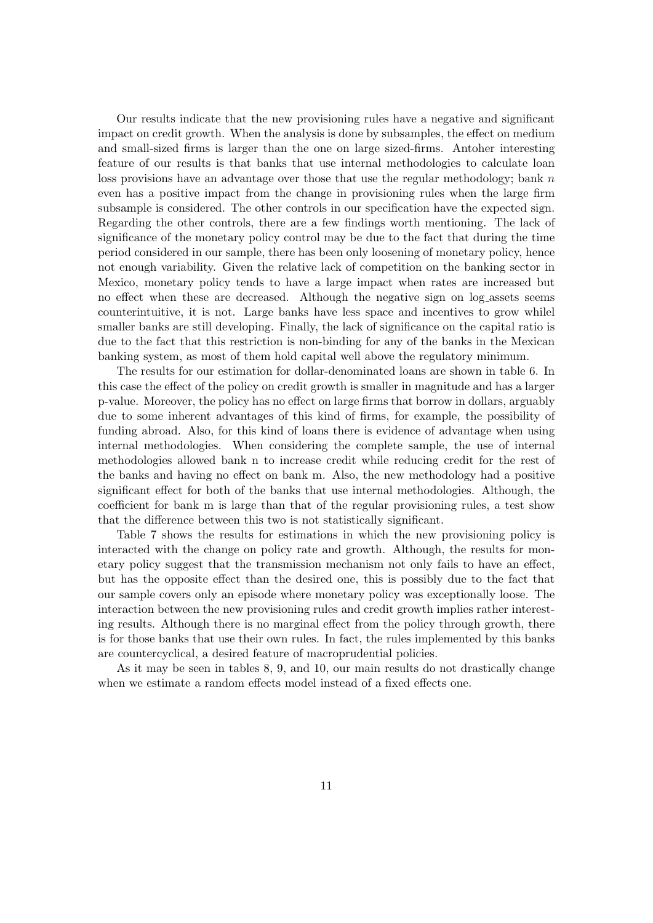Our results indicate that the new provisioning rules have a negative and significant impact on credit growth. When the analysis is done by subsamples, the effect on medium and small-sized firms is larger than the one on large sized-firms. Antoher interesting feature of our results is that banks that use internal methodologies to calculate loan loss provisions have an advantage over those that use the regular methodology; bank  $n$ even has a positive impact from the change in provisioning rules when the large firm subsample is considered. The other controls in our specification have the expected sign. Regarding the other controls, there are a few findings worth mentioning. The lack of significance of the monetary policy control may be due to the fact that during the time period considered in our sample, there has been only loosening of monetary policy, hence not enough variability. Given the relative lack of competition on the banking sector in Mexico, monetary policy tends to have a large impact when rates are increased but no effect when these are decreased. Although the negative sign on log assets seems counterintuitive, it is not. Large banks have less space and incentives to grow whilel smaller banks are still developing. Finally, the lack of significance on the capital ratio is due to the fact that this restriction is non-binding for any of the banks in the Mexican banking system, as most of them hold capital well above the regulatory minimum.

The results for our estimation for dollar-denominated loans are shown in table 6. In this case the effect of the policy on credit growth is smaller in magnitude and has a larger p-value. Moreover, the policy has no effect on large firms that borrow in dollars, arguably due to some inherent advantages of this kind of firms, for example, the possibility of funding abroad. Also, for this kind of loans there is evidence of advantage when using internal methodologies. When considering the complete sample, the use of internal methodologies allowed bank n to increase credit while reducing credit for the rest of the banks and having no effect on bank m. Also, the new methodology had a positive significant effect for both of the banks that use internal methodologies. Although, the coefficient for bank m is large than that of the regular provisioning rules, a test show that the difference between this two is not statistically significant.

Table 7 shows the results for estimations in which the new provisioning policy is interacted with the change on policy rate and growth. Although, the results for monetary policy suggest that the transmission mechanism not only fails to have an effect, but has the opposite effect than the desired one, this is possibly due to the fact that our sample covers only an episode where monetary policy was exceptionally loose. The interaction between the new provisioning rules and credit growth implies rather interesting results. Although there is no marginal effect from the policy through growth, there is for those banks that use their own rules. In fact, the rules implemented by this banks are countercyclical, a desired feature of macroprudential policies.

As it may be seen in tables 8, 9, and 10, our main results do not drastically change when we estimate a random effects model instead of a fixed effects one.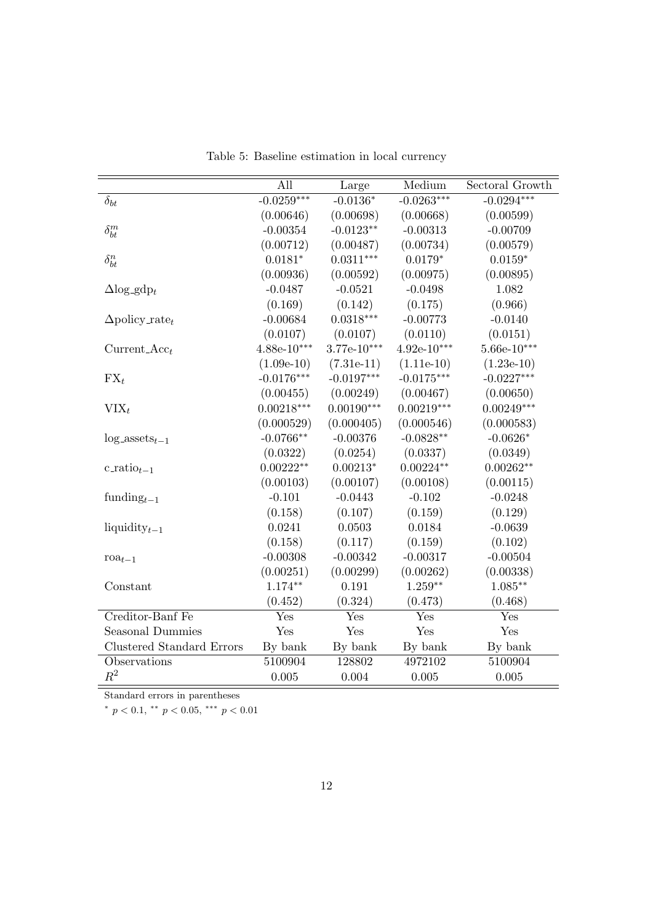|                                        | All           | Large         | Medium        | Sectoral Growth |
|----------------------------------------|---------------|---------------|---------------|-----------------|
| $\delta_{bt}$                          | $-0.0259***$  | $-0.0136*$    | $-0.0263***$  | $-0.0294***$    |
|                                        | (0.00646)     | (0.00698)     | (0.00668)     | (0.00599)       |
| $\delta_{bt}^m$                        | $-0.00354$    | $-0.0123**$   | $-0.00313$    | $-0.00709$      |
|                                        | (0.00712)     | (0.00487)     | (0.00734)     | (0.00579)       |
| $\delta_{bt}^n$                        | $0.0181*$     | $0.0311***$   | $0.0179*$     | $0.0159*$       |
|                                        | (0.00936)     | (0.00592)     | (0.00975)     | (0.00895)       |
| $\Delta$ log_gdp <sub>t</sub>          | $-0.0487$     | $-0.0521$     | $-0.0498$     | 1.082           |
|                                        | (0.169)       | (0.142)       | (0.175)       | (0.966)         |
| $\Delta$ policy_rate <sub>t</sub>      | $-0.00684$    | $0.0318***$   | $-0.00773$    | $-0.0140$       |
|                                        | (0.0107)      | (0.0107)      | (0.0110)      | (0.0151)        |
| $Current\_Acc_t$                       | $4.88e-10***$ | $3.77e-10***$ | $4.92e-10***$ | $5.66e-10***$   |
|                                        | $(1.09e-10)$  | $(7.31e-11)$  | $(1.11e-10)$  | $(1.23e-10)$    |
| $\mathbf{FX}_t$                        | $-0.0176***$  | $-0.0197***$  | $-0.0175***$  | $-0.0227***$    |
|                                        | (0.00455)     | (0.00249)     | (0.00467)     | (0.00650)       |
| $VIX_t$                                | $0.00218***$  | $0.00190***$  | $0.00219***$  | $0.00249***$    |
|                                        | (0.000529)    | (0.000405)    | (0.000546)    | (0.000583)      |
| $log\_asserts_{t-1}$                   | $-0.0766**$   | $-0.00376$    | $-0.0828**$   | $-0.0626*$      |
|                                        | (0.0322)      | (0.0254)      | (0.0337)      | (0.0349)        |
| $c$ -ratio <sub><math>t-1</math></sub> | $0.00222**$   | $0.00213*$    | $0.00224**$   | $0.00262**$     |
|                                        | (0.00103)     | (0.00107)     | (0.00108)     | (0.00115)       |
| funding $t-1$                          | $-0.101$      | $-0.0443$     | $-0.102$      | $-0.0248$       |
|                                        | (0.158)       | (0.107)       | (0.159)       | (0.129)         |
| liquidity $t-1$                        | 0.0241        | 0.0503        | 0.0184        | $-0.0639$       |
|                                        | (0.158)       | (0.117)       | (0.159)       | (0.102)         |
| $\text{roa}_{t-1}$                     | $-0.00308$    | $-0.00342$    | $-0.00317$    | $-0.00504$      |
|                                        | (0.00251)     | (0.00299)     | (0.00262)     | (0.00338)       |
| Constant                               | $1.174**$     | 0.191         | $1.259**$     | $1.085**$       |
|                                        | (0.452)       | (0.324)       | (0.473)       | (0.468)         |
| Creditor-Banf Fe                       | Yes           | Yes           | Yes           | Yes             |
| Seasonal Dummies                       | Yes           | Yes           | Yes           | Yes             |
| <b>Clustered Standard Errors</b>       | By bank       | By bank       | By bank       | By bank         |
| Observations                           | 5100904       | 128802        | 4972102       | 5100904         |
| $R^2$                                  | 0.005         | 0.004         | 0.005         | 0.005           |

Table 5: Baseline estimation in local currency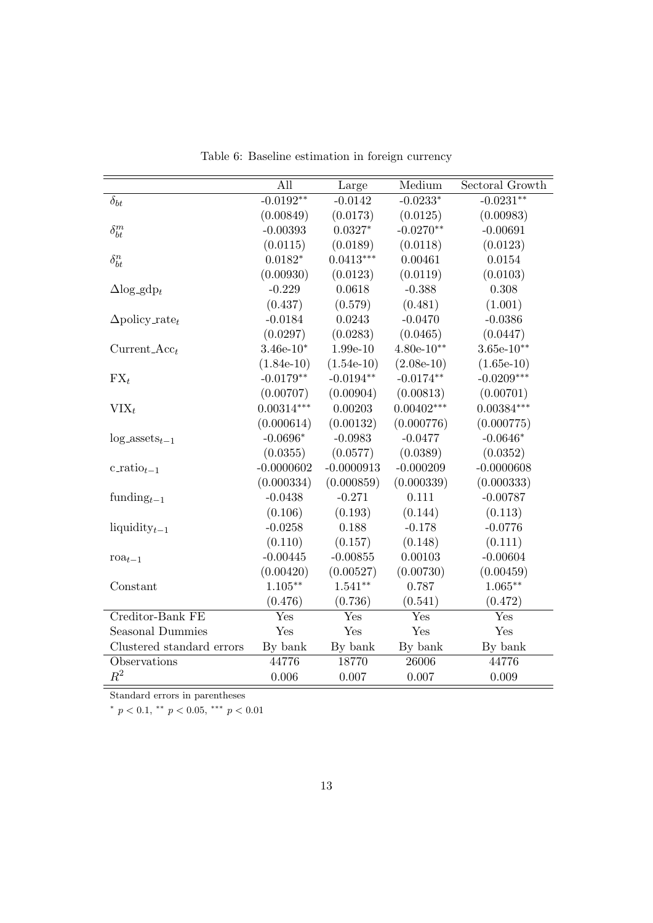|                                        | All          | Large        | Medium       | Sectoral Growth |
|----------------------------------------|--------------|--------------|--------------|-----------------|
| $\delta_{bt}$                          | $-0.0192**$  | $-0.0142$    | $-0.0233*$   | $-0.0231**$     |
|                                        | (0.00849)    | (0.0173)     | (0.0125)     | (0.00983)       |
| $\delta_{bt}^m$                        | $-0.00393$   | $0.0327*$    | $-0.0270**$  | $-0.00691$      |
|                                        | (0.0115)     | (0.0189)     | (0.0118)     | (0.0123)        |
| $\delta_{bt}^n$                        | $0.0182*$    | $0.0413***$  | 0.00461      | 0.0154          |
|                                        | (0.00930)    | (0.0123)     | (0.0119)     | (0.0103)        |
| $\Delta$ log_gdp <sub>t</sub>          | $-0.229$     | 0.0618       | $-0.388$     | 0.308           |
|                                        | (0.437)      | (0.579)      | (0.481)      | (1.001)         |
| $\Delta$ policy_rate <sub>t</sub>      | $-0.0184$    | 0.0243       | $-0.0470$    | $-0.0386$       |
|                                        | (0.0297)     | (0.0283)     | (0.0465)     | (0.0447)        |
| Current $Acc_t$                        | $3.46e-10*$  | 1.99e-10     | $4.80e-10**$ | $3.65e-10**$    |
|                                        | $(1.84e-10)$ | $(1.54e-10)$ | $(2.08e-10)$ | $(1.65e-10)$    |
| $\mathbf{FX}_t$                        | $-0.0179**$  | $-0.0194**$  | $-0.0174**$  | $-0.0209***$    |
|                                        | (0.00707)    | (0.00904)    | (0.00813)    | (0.00701)       |
| $VIX_t$                                | $0.00314***$ | 0.00203      | $0.00402***$ | $0.00384***$    |
|                                        | (0.000614)   | (0.00132)    | (0.000776)   | (0.000775)      |
| $log\_asserts_{t-1}$                   | $-0.0696*$   | $-0.0983$    | $-0.0477$    | $-0.0646*$      |
|                                        | (0.0355)     | (0.0577)     | (0.0389)     | (0.0352)        |
| $c$ -ratio <sub><math>t-1</math></sub> | $-0.0000602$ | $-0.0000913$ | $-0.000209$  | $-0.0000608$    |
|                                        | (0.000334)   | (0.000859)   | (0.000339)   | (0.000333)      |
| funding $t-1$                          | $-0.0438$    | $-0.271$     | 0.111        | $-0.00787$      |
|                                        | (0.106)      | (0.193)      | (0.144)      | (0.113)         |
| liquidity $t-1$                        | $-0.0258$    | 0.188        | $-0.178$     | $-0.0776$       |
|                                        | (0.110)      | (0.157)      | (0.148)      | (0.111)         |
| $\text{roa}_{t-1}$                     | $-0.00445$   | $-0.00855$   | 0.00103      | $-0.00604$      |
|                                        | (0.00420)    | (0.00527)    | (0.00730)    | (0.00459)       |
| Constant                               | $1.105***$   | $1.541**$    | 0.787        | $1.065**$       |
|                                        | (0.476)      | (0.736)      | (0.541)      | (0.472)         |
| Creditor-Bank FE                       | Yes          | Yes          | Yes          | Yes             |
| Seasonal Dummies                       | Yes          | Yes          | Yes          | Yes             |
| Clustered standard errors              | By bank      | By bank      | By bank      | By bank         |
| Observations                           | 44776        | 18770        | 26006        | 44776           |
| $R^2$                                  | 0.006        | 0.007        | 0.007        | 0.009           |

Table 6: Baseline estimation in foreign currency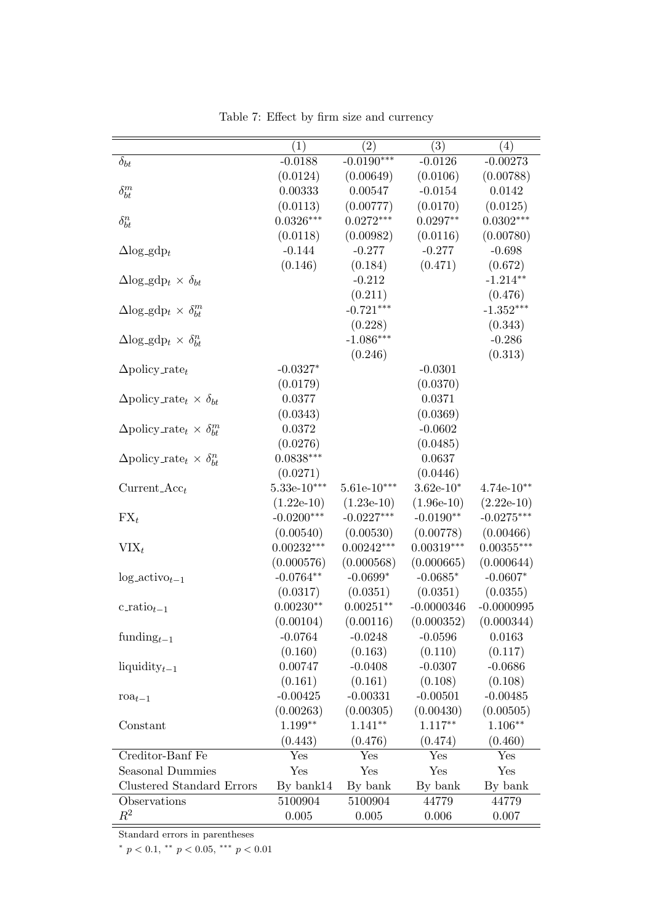|                                                          | (1)           | (2)           | (3)          | (4)          |
|----------------------------------------------------------|---------------|---------------|--------------|--------------|
| $\delta_{bt}$                                            | $-0.0188$     | $-0.0190***$  | $-0.0126$    | $-0.00273$   |
|                                                          | (0.0124)      | (0.00649)     | (0.0106)     | (0.00788)    |
| $\delta_{bt}^m$                                          | 0.00333       | 0.00547       | $-0.0154$    | 0.0142       |
|                                                          | (0.0113)      | (0.00777)     | (0.0170)     | (0.0125)     |
| $\delta_{bt}^n$                                          | $0.0326***$   | $0.0272***$   | $0.0297**$   | $0.0302***$  |
|                                                          | (0.0118)      | (0.00982)     | (0.0116)     | (0.00780)    |
| $\Delta$ log_gdp <sub>t</sub>                            | $-0.144$      | $-0.277$      | $-0.277$     | $-0.698$     |
|                                                          | (0.146)       | (0.184)       | (0.471)      | (0.672)      |
| $\Delta$ log_gdp <sub>t</sub> $\times$ $\delta_{bt}$     |               | $-0.212$      |              | $-1.214**$   |
|                                                          |               | (0.211)       |              | (0.476)      |
| $\Delta$ log_gdp <sub>t</sub> $\times$ $\delta_{bt}^m$   |               | $-0.721***$   |              | $-1.352***$  |
|                                                          |               | (0.228)       |              | (0.343)      |
| $\Delta$ log_gdp <sub>t</sub> $\times$ $\delta_{bt}^n$   |               | $-1.086***$   |              | $-0.286$     |
|                                                          |               | (0.246)       |              | (0.313)      |
| $\Delta$ policy_rate <sub>t</sub>                        | $-0.0327*$    |               | $-0.0301$    |              |
|                                                          | (0.0179)      |               | (0.0370)     |              |
| $\Delta$ policy_rate <sub>t</sub> $\times$ $\delta_{bt}$ | 0.0377        |               | 0.0371       |              |
|                                                          | (0.0343)      |               | (0.0369)     |              |
| $\Delta$ policy_rate <sub>t</sub> $\times \delta_{bt}^m$ | 0.0372        |               | $-0.0602$    |              |
|                                                          | (0.0276)      |               | (0.0485)     |              |
| $\Delta$ policy_rate <sub>t</sub> $\times \delta_{bt}^n$ | $0.0838***$   |               | 0.0637       |              |
|                                                          | (0.0271)      |               | (0.0446)     |              |
| $Current\_Acc_t$                                         | $5.33e-10***$ | $5.61e-10***$ | $3.62e-10*$  | $4.74e-10**$ |
|                                                          | $(1.22e-10)$  | $(1.23e-10)$  | $(1.96e-10)$ | $(2.22e-10)$ |
| $\mathbf{FX}_t$                                          | $-0.0200***$  | $-0.0227***$  | $-0.0190**$  | $-0.0275***$ |
|                                                          | (0.00540)     | (0.00530)     | (0.00778)    | (0.00466)    |
| $VIX_t$                                                  | $0.00232***$  | $0.00242***$  | $0.00319***$ | $0.00355***$ |
|                                                          | (0.000576)    | (0.000568)    | (0.000665)   | (0.000644)   |
| $log\_active_{t-1}$                                      | $-0.0764**$   | $-0.0699*$    | $-0.0685*$   | $-0.0607*$   |
|                                                          | (0.0317)      | (0.0351)      | (0.0351)     | (0.0355)     |
| $c$ -ratio <sub><math>t-1</math></sub>                   | $0.00230**$   | $0.00251**$   | $-0.0000346$ | $-0.0000995$ |
|                                                          | (0.00104)     | (0.00116)     | (0.000352)   | (0.000344)   |
| funding $t-1$                                            | $-0.0764$     | $-0.0248$     | $-0.0596$    | 0.0163       |
|                                                          | (0.160)       | (0.163)       | (0.110)      | (0.117)      |
| liquidity $t-1$                                          | 0.00747       | $-0.0408$     | $-0.0307$    | $-0.0686$    |
|                                                          | (0.161)       | (0.161)       | (0.108)      | (0.108)      |
| $\text{roa}_{t-1}$                                       | $-0.00425$    | $-0.00331$    | $-0.00501$   | $-0.00485$   |
|                                                          | (0.00263)     | (0.00305)     | (0.00430)    | (0.00505)    |
| Constant                                                 | $1.199**$     | $1.141**$     | $1.117**$    | $1.106**$    |
|                                                          | (0.443)       | (0.476)       | (0.474)      | (0.460)      |
| Creditor-Banf Fe                                         | Yes           | Yes           | Yes          | Yes          |
| Seasonal Dummies                                         | Yes           | Yes           | Yes          | Yes          |
| <b>Clustered Standard Errors</b>                         | By bank14     | By bank       | By bank      | By bank      |
| Observations                                             | 5100904       | 5100904       | 44779        | 44779        |
| $\,R^2$                                                  | $0.005\,$     | 0.005         | 0.006        | 0.007        |
|                                                          |               |               |              |              |

Table 7: Effect by firm size and currency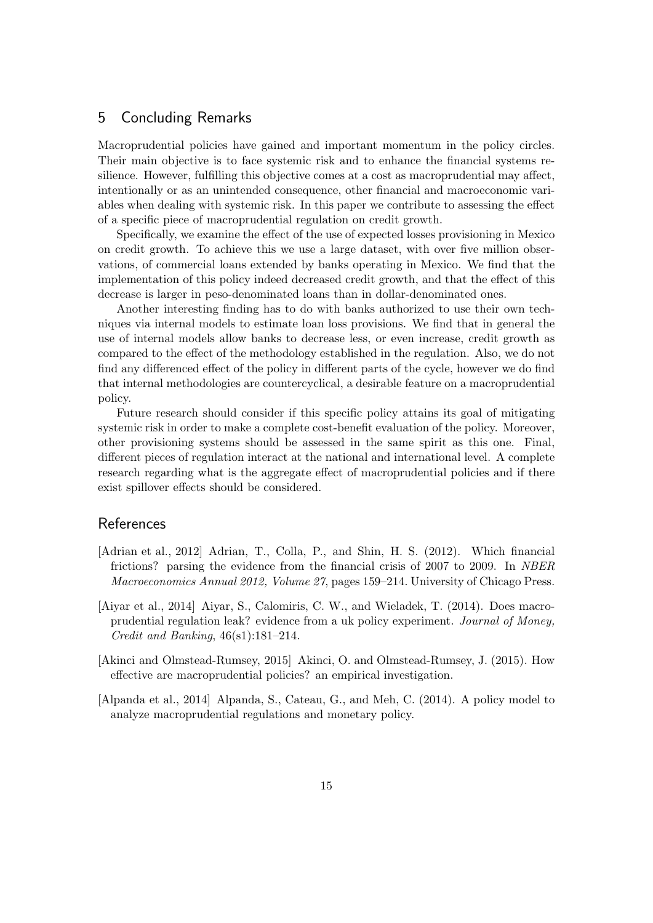## 5 Concluding Remarks

Macroprudential policies have gained and important momentum in the policy circles. Their main objective is to face systemic risk and to enhance the financial systems resilience. However, fulfilling this objective comes at a cost as macroprudential may affect, intentionally or as an unintended consequence, other financial and macroeconomic variables when dealing with systemic risk. In this paper we contribute to assessing the effect of a specific piece of macroprudential regulation on credit growth.

Specifically, we examine the effect of the use of expected losses provisioning in Mexico on credit growth. To achieve this we use a large dataset, with over five million observations, of commercial loans extended by banks operating in Mexico. We find that the implementation of this policy indeed decreased credit growth, and that the effect of this decrease is larger in peso-denominated loans than in dollar-denominated ones.

Another interesting finding has to do with banks authorized to use their own techniques via internal models to estimate loan loss provisions. We find that in general the use of internal models allow banks to decrease less, or even increase, credit growth as compared to the effect of the methodology established in the regulation. Also, we do not find any differenced effect of the policy in different parts of the cycle, however we do find that internal methodologies are countercyclical, a desirable feature on a macroprudential policy.

Future research should consider if this specific policy attains its goal of mitigating systemic risk in order to make a complete cost-benefit evaluation of the policy. Moreover, other provisioning systems should be assessed in the same spirit as this one. Final, different pieces of regulation interact at the national and international level. A complete research regarding what is the aggregate effect of macroprudential policies and if there exist spillover effects should be considered.

#### References

- [Adrian et al., 2012] Adrian, T., Colla, P., and Shin, H. S. (2012). Which financial frictions? parsing the evidence from the financial crisis of 2007 to 2009. In NBER Macroeconomics Annual 2012, Volume 27, pages 159–214. University of Chicago Press.
- [Aiyar et al., 2014] Aiyar, S., Calomiris, C. W., and Wieladek, T. (2014). Does macroprudential regulation leak? evidence from a uk policy experiment. Journal of Money, Credit and Banking,  $46(s1):181-214$ .
- [Akinci and Olmstead-Rumsey, 2015] Akinci, O. and Olmstead-Rumsey, J. (2015). How effective are macroprudential policies? an empirical investigation.
- [Alpanda et al., 2014] Alpanda, S., Cateau, G., and Meh, C. (2014). A policy model to analyze macroprudential regulations and monetary policy.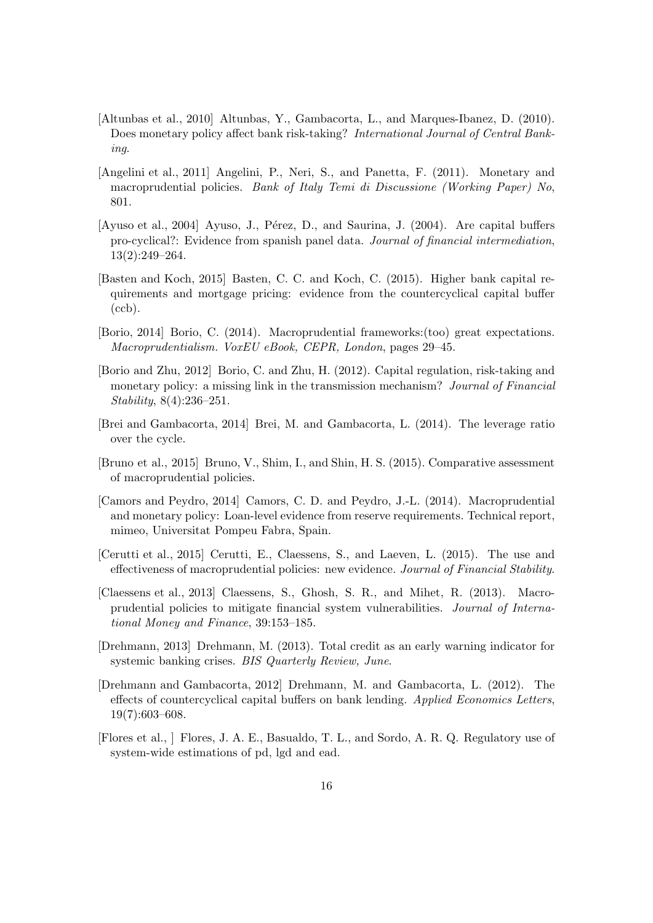- [Altunbas et al., 2010] Altunbas, Y., Gambacorta, L., and Marques-Ibanez, D. (2010). Does monetary policy affect bank risk-taking? International Journal of Central Banking.
- [Angelini et al., 2011] Angelini, P., Neri, S., and Panetta, F. (2011). Monetary and macroprudential policies. Bank of Italy Temi di Discussione (Working Paper) No, 801.
- [Ayuso et al., 2004] Ayuso, J., Pérez, D., and Saurina, J. (2004). Are capital buffers pro-cyclical?: Evidence from spanish panel data. Journal of financial intermediation, 13(2):249–264.
- [Basten and Koch, 2015] Basten, C. C. and Koch, C. (2015). Higher bank capital requirements and mortgage pricing: evidence from the countercyclical capital buffer  $(ccb).$
- [Borio, 2014] Borio, C. (2014). Macroprudential frameworks:(too) great expectations. Macroprudentialism. VoxEU eBook, CEPR, London, pages 29–45.
- [Borio and Zhu, 2012] Borio, C. and Zhu, H. (2012). Capital regulation, risk-taking and monetary policy: a missing link in the transmission mechanism? Journal of Financial Stability, 8(4):236–251.
- [Brei and Gambacorta, 2014] Brei, M. and Gambacorta, L. (2014). The leverage ratio over the cycle.
- [Bruno et al., 2015] Bruno, V., Shim, I., and Shin, H. S. (2015). Comparative assessment of macroprudential policies.
- [Camors and Peydro, 2014] Camors, C. D. and Peydro, J.-L. (2014). Macroprudential and monetary policy: Loan-level evidence from reserve requirements. Technical report, mimeo, Universitat Pompeu Fabra, Spain.
- [Cerutti et al., 2015] Cerutti, E., Claessens, S., and Laeven, L. (2015). The use and effectiveness of macroprudential policies: new evidence. Journal of Financial Stability.
- [Claessens et al., 2013] Claessens, S., Ghosh, S. R., and Mihet, R. (2013). Macroprudential policies to mitigate financial system vulnerabilities. Journal of International Money and Finance, 39:153–185.
- [Drehmann, 2013] Drehmann, M. (2013). Total credit as an early warning indicator for systemic banking crises. *BIS Quarterly Review*, June.
- [Drehmann and Gambacorta, 2012] Drehmann, M. and Gambacorta, L. (2012). The effects of countercyclical capital buffers on bank lending. Applied Economics Letters, 19(7):603–608.
- [Flores et al., ] Flores, J. A. E., Basualdo, T. L., and Sordo, A. R. Q. Regulatory use of system-wide estimations of pd, lgd and ead.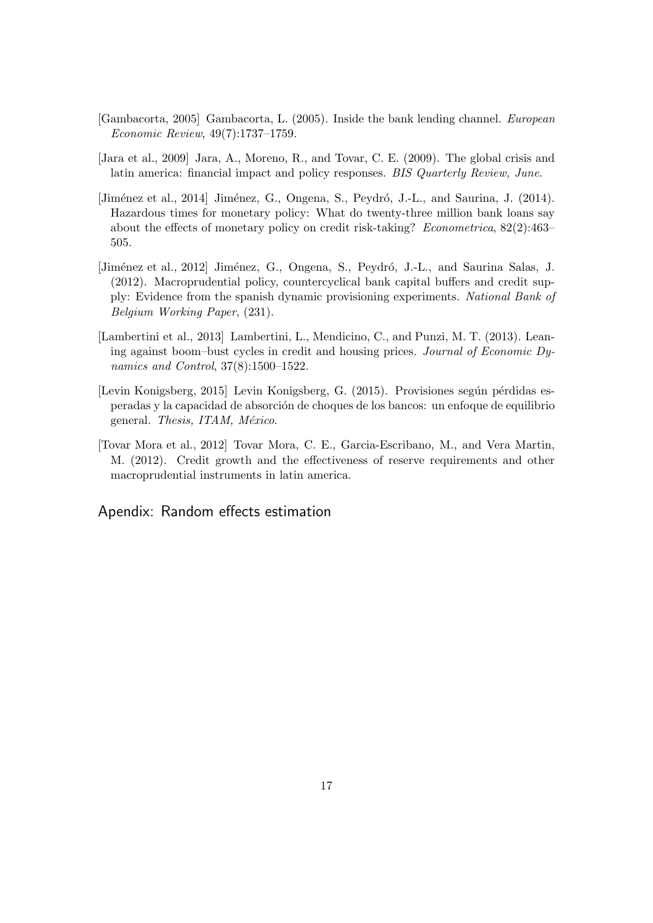- [Gambacorta, 2005] Gambacorta, L. (2005). Inside the bank lending channel. European Economic Review, 49(7):1737–1759.
- [Jara et al., 2009] Jara, A., Moreno, R., and Tovar, C. E. (2009). The global crisis and latin america: financial impact and policy responses. BIS Quarterly Review, June.
- [Jiménez et al., 2014] Jiménez, G., Ongena, S., Peydró, J.-L., and Saurina, J. (2014). Hazardous times for monetary policy: What do twenty-three million bank loans say about the effects of monetary policy on credit risk-taking? Econometrica, 82(2):463– 505.
- [Jiménez et al., 2012] Jiménez, G., Ongena, S., Peydró, J.-L., and Saurina Salas, J. (2012). Macroprudential policy, countercyclical bank capital buffers and credit supply: Evidence from the spanish dynamic provisioning experiments. National Bank of Belgium Working Paper, (231).
- [Lambertini et al., 2013] Lambertini, L., Mendicino, C., and Punzi, M. T. (2013). Leaning against boom–bust cycles in credit and housing prices. Journal of Economic Dynamics and Control, 37(8):1500–1522.
- [Levin Konigsberg, 2015] Levin Konigsberg, G. (2015). Provisiones según pérdidas esperadas y la capacidad de absorción de choques de los bancos: un enfoque de equilibrio general. Thesis, ITAM, México.
- [Tovar Mora et al., 2012] Tovar Mora, C. E., Garcia-Escribano, M., and Vera Martin, M. (2012). Credit growth and the effectiveness of reserve requirements and other macroprudential instruments in latin america.

# Apendix: Random effects estimation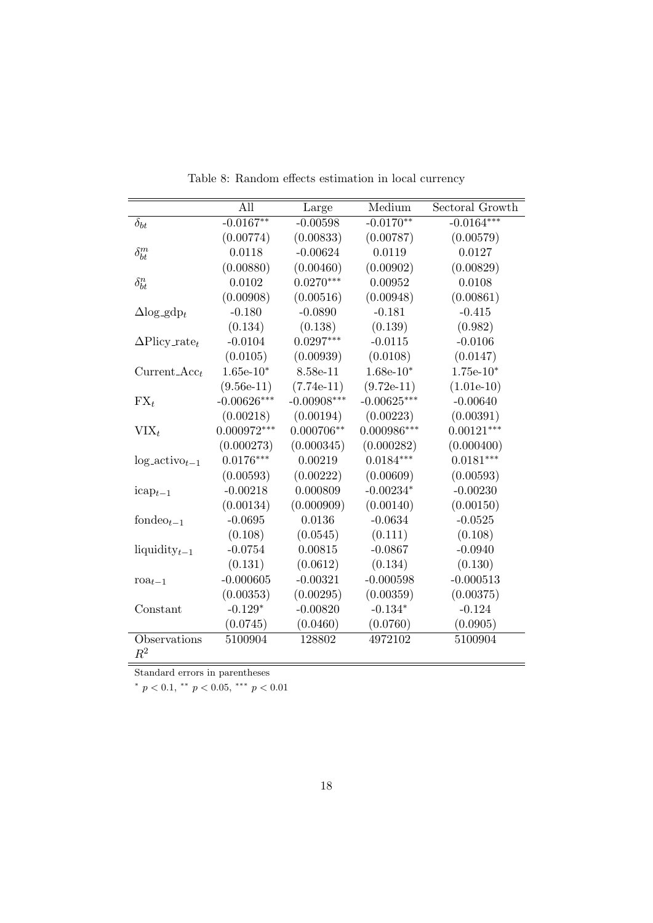|                                  | All           | Large         | Medium        | Sectoral Growth |
|----------------------------------|---------------|---------------|---------------|-----------------|
| $\delta_{bt}$                    | $-0.0167**$   | $-0.00598$    | $-0.0170**$   | $-0.0164***$    |
|                                  | (0.00774)     | (0.00833)     | (0.00787)     | (0.00579)       |
| $\delta_{bt}^m$                  | 0.0118        | $-0.00624$    | 0.0119        | 0.0127          |
|                                  | (0.00880)     | (0.00460)     | (0.00902)     | (0.00829)       |
|                                  | 0.0102        | $0.0270***$   | 0.00952       | 0.0108          |
| $\delta_{bt}^n$                  | (0.00908)     | (0.00516)     | (0.00948)     | (0.00861)       |
|                                  | $-0.180$      | $-0.0890$     | $-0.181$      | $-0.415$        |
| $\Delta$ log_gdp <sub>t</sub>    |               |               |               |                 |
|                                  | (0.134)       | (0.138)       | (0.139)       | (0.982)         |
| $\Delta$ Plicy_rate <sub>t</sub> | $-0.0104$     | $0.0297***$   | $-0.0115$     | $-0.0106$       |
|                                  | (0.0105)      | (0.00939)     | (0.0108)      | (0.0147)        |
| $Current\_Acc_t$                 | $1.65e-10*$   | 8.58e-11      | $1.68e-10*$   | $1.75e-10*$     |
|                                  | $(9.56e-11)$  | $(7.74e-11)$  | $(9.72e-11)$  | $(1.01e-10)$    |
| $\mathbf{FX}_t$                  | $-0.00626***$ | $-0.00908***$ | $-0.00625***$ | $-0.00640$      |
|                                  | (0.00218)     | (0.00194)     | (0.00223)     | (0.00391)       |
| $VIX_t$                          | $0.000972***$ | $0.000706**$  | $0.000986***$ | $0.00121***$    |
|                                  | (0.000273)    | (0.000345)    | (0.000282)    | (0.000400)      |
| $log\_active_{t-1}$              | $0.0176***$   | 0.00219       | $0.0184***$   | $0.0181***$     |
|                                  | (0.00593)     | (0.00222)     | (0.00609)     | (0.00593)       |
| $icap_{t-1}$                     | $-0.00218$    | 0.000809      | $-0.00234*$   | $-0.00230$      |
|                                  | (0.00134)     | (0.000909)    | (0.00140)     | (0.00150)       |
| fonde $o_{t-1}$                  | $-0.0695$     | 0.0136        | $-0.0634$     | $-0.0525$       |
|                                  | (0.108)       | (0.0545)      | (0.111)       | (0.108)         |
| liquidity $t-1$                  | $-0.0754$     | 0.00815       | $-0.0867$     | $-0.0940$       |
|                                  | (0.131)       | (0.0612)      | (0.134)       | (0.130)         |
| $\text{roa}_{t-1}$               | $-0.000605$   | $-0.00321$    | $-0.000598$   | $-0.000513$     |
|                                  | (0.00353)     | (0.00295)     | (0.00359)     | (0.00375)       |
| Constant                         | $-0.129*$     | $-0.00820$    | $-0.134*$     | $-0.124$        |
|                                  | (0.0745)      | (0.0460)      | (0.0760)      | (0.0905)        |
| Observations                     | 5100904       | 128802        | 4972102       | 5100904         |
| $R^2$                            |               |               |               |                 |

Table 8: Random effects estimation in local currency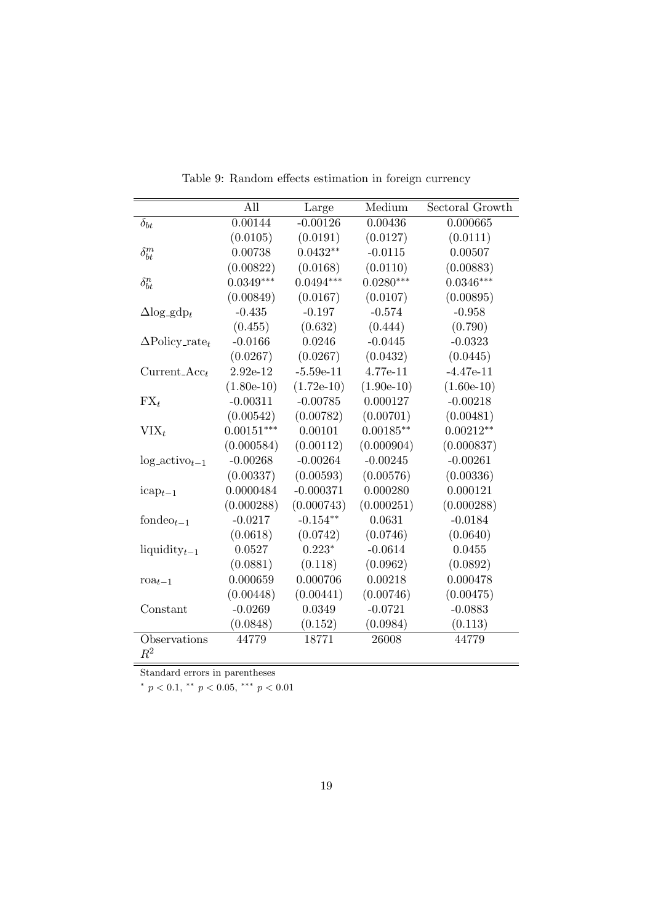|                                   | All          | Large        | Medium       | Sectoral Growth |
|-----------------------------------|--------------|--------------|--------------|-----------------|
| $\delta_{bt}$                     | 0.00144      | $-0.00126$   | 0.00436      | 0.000665        |
|                                   | (0.0105)     | (0.0191)     | (0.0127)     | (0.0111)        |
| $\delta_{bt}^m$                   | 0.00738      | $0.0432**$   | $-0.0115$    | 0.00507         |
|                                   | (0.00822)    | (0.0168)     | (0.0110)     | (0.00883)       |
| $\delta_{bt}^n$                   | $0.0349***$  | $0.0494***$  | $0.0280***$  | $0.0346***$     |
|                                   | (0.00849)    | (0.0167)     | (0.0107)     | (0.00895)       |
| $\Delta$ log_gdp <sub>t</sub>     | $-0.435$     | $-0.197$     | $-0.574$     | $-0.958$        |
|                                   | (0.455)      | (0.632)      | (0.444)      | (0.790)         |
| $\Delta$ Policy_rate <sub>t</sub> | $-0.0166$    | 0.0246       | $-0.0445$    | $-0.0323$       |
|                                   | (0.0267)     | (0.0267)     | (0.0432)     | (0.0445)        |
| $Current\_Acc_t$                  | 2.92e-12     | $-5.59e-11$  | 4.77e-11     | $-4.47e-11$     |
|                                   | $(1.80e-10)$ | $(1.72e-10)$ | $(1.90e-10)$ | $(1.60e-10)$    |
| $\mathbf{FX}_t$                   | $-0.00311$   | $-0.00785$   | 0.000127     | $-0.00218$      |
|                                   | (0.00542)    | (0.00782)    | (0.00701)    | (0.00481)       |
| $VIX_t$                           | $0.00151***$ | 0.00101      | $0.00185**$  | $0.00212**$     |
|                                   | (0.000584)   | (0.00112)    | (0.000904)   | (0.000837)      |
| $log\_active_{t-1}$               | $-0.00268$   | $-0.00264$   | $-0.00245$   | $-0.00261$      |
|                                   | (0.00337)    | (0.00593)    | (0.00576)    | (0.00336)       |
|                                   | 0.0000484    | $-0.000371$  | 0.000280     | 0.000121        |
| $icap_{t-1}$                      | (0.000288)   | (0.000743)   | (0.000251)   | (0.000288)      |
| fonde $o_{t-1}$                   | $-0.0217$    | $-0.154**$   | 0.0631       | $-0.0184$       |
|                                   | (0.0618)     | (0.0742)     | (0.0746)     | (0.0640)        |
|                                   | 0.0527       | $0.223*$     | $-0.0614$    | 0.0455          |
| liquidity $t-1$                   | (0.0881)     | (0.118)      | (0.0962)     | (0.0892)        |
|                                   | 0.000659     | 0.000706     | 0.00218      | 0.000478        |
| $\text{roa}_{t-1}$                |              |              |              |                 |
|                                   | (0.00448)    | (0.00441)    | (0.00746)    | (0.00475)       |
| Constant                          | $-0.0269$    | 0.0349       | $-0.0721$    | $-0.0883$       |
|                                   | (0.0848)     | (0.152)      | (0.0984)     | (0.113)         |
| Observations<br>$R^2$             | 44779        | 18771        | 26008        | 44779           |

Table 9: Random effects estimation in foreign currency